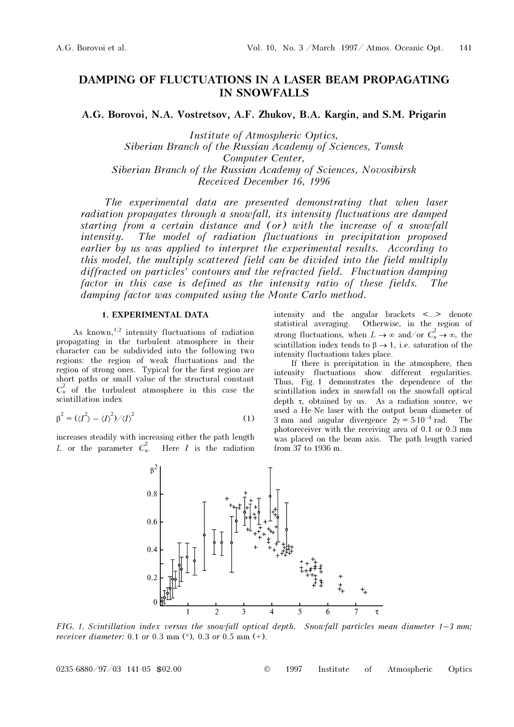# DAMPING OF FLUCTUATIONS IN A LASER BEAM PROPAGATING IN SNOWFALLS

A.G. Borovoi, N.A. Vostretsov, A.F. Zhukov, B.A. Kargin, and S.M. Prigarin

Institute of Atmospheric Optics, Siberian Branch of the Russian Academy of Sciences, Tomsk Computer Center, Siberian Branch of the Russian Academy of Sciences, Novosibirsk Received December 16, 1996

The experimental data are presented demonstrating that when laser radiation propagates through a snowfall, its intensity fluctuations are damped starting from a certain distance and (or) with the increase of a snowfall intensity. The model of radiation fluctuations in precipitation proposed earlier by us was applied to interpret the experimental results. According to this model, the multiply scattered field can be divided into the field multiply diffracted on particles' contours and the refracted field. Fluctuation damping factor in this case is defined as the intensity ratio of these fields. damping factor was computed using the Monte Carlo method.

### 1. EXPERIMENTAL DATA

As known,<sup>1,2</sup> intensity fluctuations of radiation propagating in the turbulent atmosphere in their character can be subdivided into the following two regions: the region of weak fluctuations and the region of strong ones. Typical for the first region are short paths or small value of the structural constant  $C_n^2$  of the turbulent atmosphere in this case the scintillation index

$$
\beta^2 = (\langle I^2 \rangle - \langle I \rangle^2) / \langle I \rangle^2 \tag{1}
$$

increases steadily with increasing either the path length L or the parameter  $C_n^2$ . Here  $I$  is the radiation

intensity and the angular brackets <...> denote statistical averaging. Otherwise, in the region of strong fluctuations, when  $L \to \infty$  and/or  $C_n^2 \to \infty$ , the scintillation index tends to  $\beta \rightarrow 1$ , i.e. saturation of the intensity fluctuations takes place.

If there is precipitation in the atmosphere, then intensity fluctuations show different regularities. Thus, Fig. 1 demonstrates the dependence of the scintillation index in snowfall on the snowfall optical depth  $\tau$ , obtained by us. As a radiation source, we used a He-Ne laser with the output beam diameter of 3 mm and angular divergence  $2\gamma = 5 \cdot 10^{-4}$  rad. The photoreceiver with the receiving area of 0.1 or 0.3 mm was placed on the beam axis. The path length varied from 37 to 1936 m.



FIG. 1. Scintillation index versus the snowfall optical depth. Snowfall particles mean diameter  $1-3$  mm; receiver diameter: 0.1 or 0.3 mm  $(°)$ , 0.3 or 0.5 mm  $(+)$ .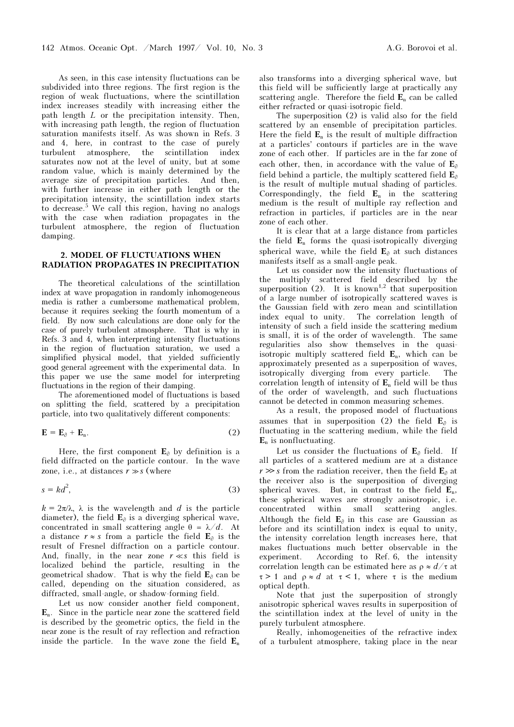As seen, in this case intensity fluctuations can be subdivided into three regions. The first region is the region of weak fluctuations, where the scintillation index increases steadily with increasing either the path length L or the precipitation intensity. Then, with increasing path length, the region of fluctuation saturation manifests itself. As was shown in Refs. 3 and 4, here, in contrast to the case of purely turbulent atmosphere, the scintillation index saturates now not at the level of unity, but at some random value, which is mainly determined by the average size of precipitation particles. And then, with further increase in either path length or the precipitation intensity, the scintillation index starts to decrease.<sup>5</sup> We call this region, having no analogs with the case when radiation propagates in the turbulent atmosphere, the region of fluctuation damping.

## 2. MODEL OF FLUCTUATIONS WHEN RADIATION PROPAGATES IN PRECIPITATION

The theoretical calculations of the scintillation index at wave propagation in randomly inhomogeneous media is rather a cumbersome mathematical problem, because it requires seeking the fourth momentum of a field. By now such calculations are done only for the case of purely turbulent atmosphere. That is why in Refs. 3 and 4, when interpreting intensity fluctuations in the region of fluctuation saturation, we used a simplified physical model, that yielded sufficiently good general agreement with the experimental data. In this paper we use the same model for interpreting fluctuations in the region of their damping.

The aforementioned model of fluctuations is based on splitting the field, scattered by a precipitation particle, into two qualitatively different components:

$$
\mathbf{E} = \mathbf{E}_{\partial} + \mathbf{E}_{\mathrm{n}}.\tag{2}
$$

Here, the first component  $E_{\partial}$  by definition is a field diffracted on the particle contour. In the wave zone, i.e., at distances  $r \gg s$  (where

$$
s = kd^2,\tag{3}
$$

 $k = 2\pi/\lambda$ ,  $\lambda$  is the wavelength and d is the particle diameter), the field  $E_{\partial}$  is a diverging spherical wave, concentrated in small scattering angle  $\theta = \lambda/d$ . At a distance  $r \approx s$  from a particle the field  $\mathbf{E}_{\partial}$  is the result of Fresnel diffraction on a particle contour. And, finally, in the near zone  $r \ll s$  this field is localized behind the particle, resulting in the geometrical shadow. That is why the field  $E_0$  can be called, depending on the situation considered, as diffracted, small-angle, or shadow-forming field.

Let us now consider another field component,  $\mathbf{E}_n$ . Since in the particle near zone the scattered field is described by the geometric optics, the field in the near zone is the result of ray reflection and refraction inside the particle. In the wave zone the field  $E_n$  also transforms into a diverging spherical wave, but this field will be sufficiently large at practically any scattering angle. Therefore the field  $E_n$  can be called either refracted or quasi-isotropic field.

The superposition (2) is valid also for the field scattered by an ensemble of precipitation particles. Here the field  $\mathbf{E}_n$  is the result of multiple diffraction at a particles' contours if particles are in the wave zone of each other. If particles are in the far zone of each other, then, in accordance with the value of  $E_{\partial}$ field behind a particle, the multiply scattered field  $E_{\partial}$ is the result of multiple mutual shading of particles. Correspondingly, the field  $E_n$  in the scattering medium is the result of multiple ray reflection and refraction in particles, if particles are in the near zone of each other.

It is clear that at a large distance from particles the field  $E_n$  forms the quasi-isotropically diverging spherical wave, while the field  $E_{\partial}$  at such distances manifests itself as a small-angle peak.

Let us consider now the intensity fluctuations of the multiply scattered field described by the superposition (2). It is known<sup>1,2</sup> that superposition of a large number of isotropically scattered waves is the Gaussian field with zero mean and scintillation index equal to unity. The correlation length of intensity of such a field inside the scattering medium is small, it is of the order of wavelength. The same regularities also show themselves in the quasiisotropic multiply scattered field  $\mathbf{E}_n$ , which can be approximately presented as a superposition of waves, isotropically diverging from every particle. The correlation length of intensity of  $E_n$  field will be thus of the order of wavelength, and such fluctuations cannot be detected in common measuring schemes.

As a result, the proposed model of fluctuations assumes that in superposition (2) the field  $E_{\alpha}$  is fluctuating in the scattering medium, while the field  $E_n$  is nonfluctuating.

Let us consider the fluctuations of  $E_{\alpha}$  field. If all particles of a scattered medium are at a distance  $r \gg s$  from the radiation receiver, then the field  $E_{\partial}$  at the receiver also is the superposition of diverging spherical waves. But, in contrast to the field  $E_n$ , these spherical waves are strongly anisotropic, i.e. concentrated within small scattering angles. Although the field  $E_{\partial}$  in this case are Gaussian as before and its scintillation index is equal to unity, the intensity correlation length increases here, that makes fluctuations much better observable in the experiment. According to Ref. 6, the intensity correlation length can be estimated here as  $\rho \approx d/\tau$  at  $\tau > 1$  and  $\rho \approx d$  at  $\tau < 1$ , where  $\tau$  is the medium optical depth.

Note that just the superposition of strongly anisotropic spherical waves results in superposition of the scintillation index at the level of unity in the purely turbulent atmosphere.

Really, inhomogeneities of the refractive index of a turbulent atmosphere, taking place in the near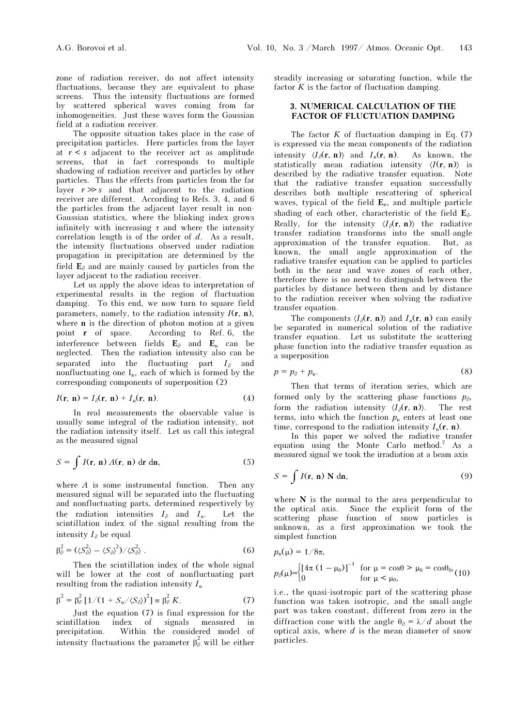zone of radiation receiver, do not affect intensity fluctuations, because they are equivalent to phase screens. Thus the intensity fluctuations are formed by scattered spherical waves coming from far inhomogeneities. Just these waves form the Gaussian field at a radiation receiver.

The opposite situation takes place in the case of precipitation particles. Here particles from the layer at  $r \leq s$  adjacent to the receiver act as amplitude screens, that in fact corresponds to multiple shadowing of radiation receiver and particles by other particles. Thus the effects from particles from the far layer  $r \gg s$  and that adjacent to the radiation receiver are different. According to Refs. 3, 4, and 6 the particles from the adjacent layer result in non-Gaussian statistics, where the blinking index grows infinitely with increasing  $\tau$  and where the intensity correlation length is of the order of d. As a result, the intensity fluctuations observed under radiation propagation in precipitation are determined by the field  $\mathbf{E}_{\partial}$  and are mainly caused by particles from the layer adjacent to the radiation receiver.

Let us apply the above ideas to interpretation of experimental results in the region of fluctuation damping. To this end, we now turn to square field parameters, namely, to the radiation intensity  $I(\mathbf{r}, \mathbf{n})$ , where n is the direction of photon motion at a given point r of space. According to Ref. 6, the interference between fields  $E_{\partial}$  and  $E_{n}$  can be neglected. Then the radiation intensity also can be separated into the fluctuating part  $I_{\partial}$  and nonfluctuating one  $I_n$ , each of which is formed by the corresponding components of superposition (2)

$$
I(\mathbf{r}, \mathbf{n}) = I_{\partial}(\mathbf{r}, \mathbf{n}) + I_{\mathbf{n}}(\mathbf{r}, \mathbf{n}). \tag{4}
$$

In real measurements the observable value is usually some integral of the radiation intensity, not the radiation intensity itself. Let us call this integral as the measured signal

$$
S = \int I(\mathbf{r}, \mathbf{n}) A(\mathbf{r}, \mathbf{n}) \, \mathrm{d}\mathbf{r} \, \mathrm{d}\mathbf{n},\tag{5}
$$

where  $A$  is some instrumental function. Then any measured signal will be separated into the fluctuating and nonfluctuating parts, determined respectively by the radiation intensities  $I_{\partial}$  and  $I_{n}$ . Let the scintillation index of the signal resulting from the intensity  $I_{\partial}$  be equal

$$
\beta_{\partial}^2 = (\langle S_{\partial}^2 \rangle - \langle S_{\partial} \rangle^2) / \langle S_{\partial}^2 \rangle . \tag{6}
$$

Then the scintillation index of the whole signal will be lower at the cost of nonfluctuating part resulting from the radiation intensity  $I_n$ 

$$
\beta^2 = \beta_\partial^2 [1/(1 + S_n / \langle S_\partial \rangle)^2] \equiv \beta_\partial^2 K. \tag{7}
$$

Just the equation (7) is final expression for the scintillation index of signals measured in precipitation. Within the considered model of intensity fluctuations the parameter  $\beta_{\theta}^2$  will be either steadily increasing or saturating function, while the factor  $K$  is the factor of fluctuation damping.

# 3. NUMERICAL CALCULATION OF THE FACTOR OF FLUCTUATION DAMPING

The factor  $K$  of fluctuation damping in Eq. (7) is expressed via the mean components of the radiation intensity  $\langle I_{\partial}(\mathbf{r}, \mathbf{n}) \rangle$  and  $I_{n}(\mathbf{r}, \mathbf{n})$ . As known, the statistically mean radiation intensity  $\langle I(\mathbf{r}, \mathbf{n}) \rangle$  is described by the radiative transfer equation. Note that the radiative transfer equation successfully describes both multiple rescattering of spherical waves, typical of the field  $\mathbf{E}_n$ , and multiple particle shading of each other, characteristic of the field  $E_{\partial}$ . Really, for the intensity  $\langle I_{\partial}(\mathbf{r}, \mathbf{n}) \rangle$  the radiative transfer radiation transforms into the small-angle approximation of the transfer equation. But, as known, the small angle approximation of the radiative transfer equation can be applied to particles both in the near and wave zones of each other, therefore there is no need to distinguish between the particles by distance between them and by distance to the radiation receiver when solving the radiative transfer equation.

The components  $\langle I_{\partial}(\mathbf{r}, \mathbf{n}) \rangle$  and  $I_{n}(\mathbf{r}, \mathbf{n})$  can easily be separated in numerical solution of the radiative transfer equation. Let us substitute the scattering phase function into the radiative transfer equation as a superposition

$$
p = p_{\partial} + p_{\rm n}.\tag{8}
$$

Then that terms of iteration series, which are formed only by the scattering phase functions  $p_{\partial}$ , form the radiation intensity  $\langle I_{\partial}(\mathbf{r}, \mathbf{n}) \rangle$ . The rest terms, into which the function  $p_n$  enters at least one time, correspond to the radiation intensity  $I_n(\mathbf{r}, \mathbf{n})$ .

In this paper we solved the radiative transfer equation using the Monte Carlo method.<sup>7</sup> As a measured signal we took the irradiation at a beam axis

$$
S = \int I(\mathbf{r}, \mathbf{n}) \, \mathbf{N} \, \mathrm{d}\mathbf{n},\tag{9}
$$

where  $N$  is the normal to the area perpendicular to the optical axis. Since the explicit form of the scattering phase function of snow particles is unknown, as a first approximation we took the simplest function

$$
p_n(\mu) = 1/8\pi,
$$
  
\n
$$
p_\partial(\mu) = \begin{cases} \left[ 4\pi (1 - \mu_0) \right]^{-1} & \text{for } \mu = \cos\theta > \mu_0 = \cos\theta_0, \\ 0 & \text{for } \mu < \mu_0, \end{cases}
$$

i.e., the quasi-isotropic part of the scattering phase function was taken isotropic, and the small-angle part was taken constant, different from zero in the diffraction cone with the angle  $\theta_{\partial} = \lambda/d$  about the optical axis, where  $d$  is the mean diameter of snow particles.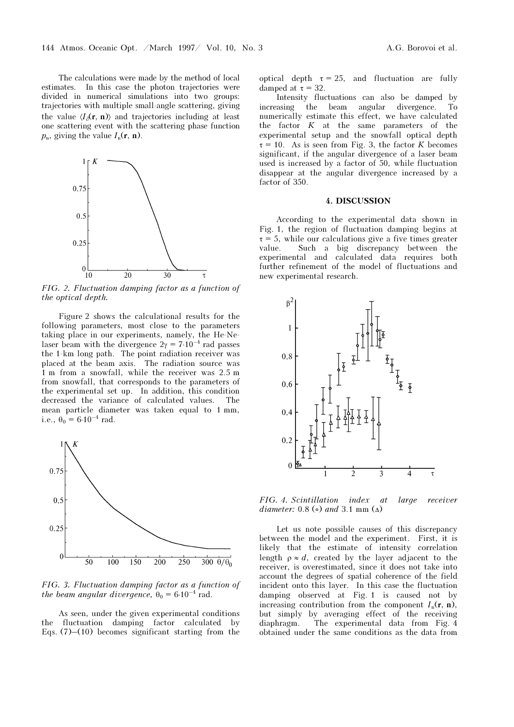The calculations were made by the method of local estimates. In this case the photon trajectories were divided in numerical simulations into two groups: trajectories with multiple small-angle scattering, giving the value  $\langle I_{\alpha}(\mathbf{r},\mathbf{n})\rangle$  and trajectories including at least one scattering event with the scattering phase function  $p_n$ , giving the value  $I_n(\mathbf{r}, \mathbf{n})$ .



FIG. 2. Fluctuation damping factor as a function of the optical depth.

Figure 2 shows the calculational results for the following parameters, most close to the parameters taking place in our experiments, namely, the He-Nelaser beam with the divergence  $2\gamma = 7 \cdot 10^{-4}$  rad passes the 1-km long path. The point radiation receiver was placed at the beam axis. The radiation source was 1 m from a snowfall, while the receiver was 2.5 m from snowfall, that corresponds to the parameters of the experimental set up. In addition, this condition decreased the variance of calculated values. The mean particle diameter was taken equal to 1 mm, i.e.,  $\theta_0 = 6.10^{-4}$  rad.



FIG. 3. Fluctuation damping factor as a function of the beam angular divergence,  $\theta_0 = 6.10^{-4}$  rad.

As seen, under the given experimental conditions the fluctuation damping factor calculated by Eqs.  $(7)$ – $(10)$  becomes significant starting from the optical depth  $\tau = 25$ , and fluctuation are fully damped at  $\tau = 32$ .

Intensity fluctuations can also be damped by increasing the beam angular divergence. To numerically estimate this effect, we have calculated the factor  $K$  at the same parameters of the experimental setup and the snowfall optical depth  $\tau = 10$ . As is seen from Fig. 3, the factor K becomes significant, if the angular divergence of a laser beam used is increased by a factor of 50, while fluctuation disappear at the angular divergence increased by a factor of 350.

#### 4. DISCUSSION

According to the experimental data shown in Fig. 1, the region of fluctuation damping begins at  $\tau = 5$ , while our calculations give a five times greater value. Such a big discrepancy between the experimental and calculated data requires both further refinement of the model of fluctuations and new experimental research.



FIG. 4. Scintillation index at large receiver diameter: 0.8 ( $\circ$ ) and 3.1 mm ( $\Delta$ )

Let us note possible causes of this discrepancy between the model and the experiment. First, it is likely that the estimate of intensity correlation length  $\rho \approx d$ , created by the layer adjacent to the receiver, is overestimated, since it does not take into account the degrees of spatial coherence of the field incident onto this layer. In this case the fluctuation damping observed at Fig. 1 is caused not by increasing contribution from the component  $I_n(\mathbf{r}, \mathbf{n})$ , but simply by averaging effect of the receiving diaphragm. The experimental data from Fig. 4 obtained under the same conditions as the data from